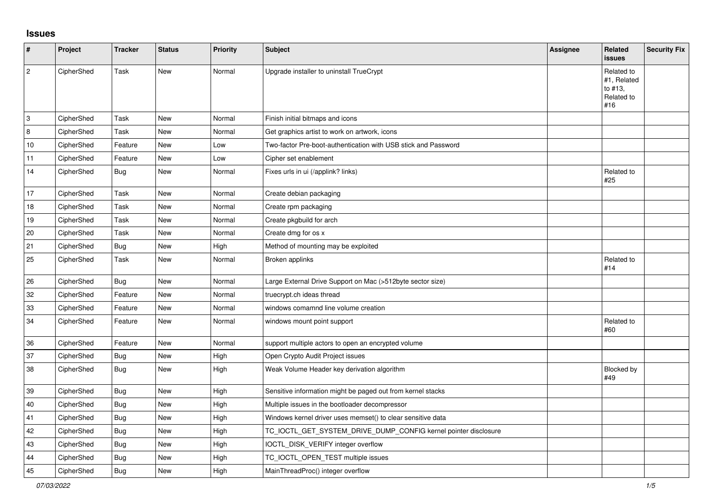## **Issues**

| #           | Project    | <b>Tracker</b> | <b>Status</b> | <b>Priority</b> | <b>Subject</b>                                                  | <b>Assignee</b> | <b>Related</b><br><b>issues</b>                           | <b>Security Fix</b> |
|-------------|------------|----------------|---------------|-----------------|-----------------------------------------------------------------|-----------------|-----------------------------------------------------------|---------------------|
| $\sqrt{2}$  | CipherShed | Task           | New           | Normal          | Upgrade installer to uninstall TrueCrypt                        |                 | Related to<br>#1, Related<br>to #13,<br>Related to<br>#16 |                     |
| $\mathsf 3$ | CipherShed | Task           | <b>New</b>    | Normal          | Finish initial bitmaps and icons                                |                 |                                                           |                     |
| $\,8\,$     | CipherShed | Task           | New           | Normal          | Get graphics artist to work on artwork, icons                   |                 |                                                           |                     |
| 10          | CipherShed | Feature        | New           | Low             | Two-factor Pre-boot-authentication with USB stick and Password  |                 |                                                           |                     |
| 11          | CipherShed | Feature        | New           | Low             | Cipher set enablement                                           |                 |                                                           |                     |
| 14          | CipherShed | <b>Bug</b>     | New           | Normal          | Fixes urls in ui (/applink? links)                              |                 | Related to<br>#25                                         |                     |
| 17          | CipherShed | Task           | <b>New</b>    | Normal          | Create debian packaging                                         |                 |                                                           |                     |
| 18          | CipherShed | Task           | <b>New</b>    | Normal          | Create rpm packaging                                            |                 |                                                           |                     |
| 19          | CipherShed | Task           | <b>New</b>    | Normal          | Create pkgbuild for arch                                        |                 |                                                           |                     |
| 20          | CipherShed | Task           | New           | Normal          | Create dmg for os x                                             |                 |                                                           |                     |
| 21          | CipherShed | <b>Bug</b>     | New           | High            | Method of mounting may be exploited                             |                 |                                                           |                     |
| 25          | CipherShed | Task           | New           | Normal          | Broken applinks                                                 |                 | Related to<br>#14                                         |                     |
| 26          | CipherShed | <b>Bug</b>     | New           | Normal          | Large External Drive Support on Mac (>512byte sector size)      |                 |                                                           |                     |
| 32          | CipherShed | Feature        | New           | Normal          | truecrypt.ch ideas thread                                       |                 |                                                           |                     |
| 33          | CipherShed | Feature        | New           | Normal          | windows comamnd line volume creation                            |                 |                                                           |                     |
| 34          | CipherShed | Feature        | New           | Normal          | windows mount point support                                     |                 | Related to<br>#60                                         |                     |
| 36          | CipherShed | Feature        | <b>New</b>    | Normal          | support multiple actors to open an encrypted volume             |                 |                                                           |                     |
| 37          | CipherShed | <b>Bug</b>     | New           | High            | Open Crypto Audit Project issues                                |                 |                                                           |                     |
| 38          | CipherShed | Bug            | New           | High            | Weak Volume Header key derivation algorithm                     |                 | Blocked by<br>#49                                         |                     |
| 39          | CipherShed | <b>Bug</b>     | New           | High            | Sensitive information might be paged out from kernel stacks     |                 |                                                           |                     |
| 40          | CipherShed | <b>Bug</b>     | New           | High            | Multiple issues in the bootloader decompressor                  |                 |                                                           |                     |
| 41          | CipherShed | Bug            | New           | High            | Windows kernel driver uses memset() to clear sensitive data     |                 |                                                           |                     |
| 42          | CipherShed | <b>Bug</b>     | New           | High            | TC_IOCTL_GET_SYSTEM_DRIVE_DUMP_CONFIG kernel pointer disclosure |                 |                                                           |                     |
| 43          | CipherShed | <b>Bug</b>     | New           | High            | IOCTL_DISK_VERIFY integer overflow                              |                 |                                                           |                     |
| 44          | CipherShed | <b>Bug</b>     | New           | High            | TC_IOCTL_OPEN_TEST multiple issues                              |                 |                                                           |                     |
| 45          | CipherShed | <b>Bug</b>     | New           | High            | MainThreadProc() integer overflow                               |                 |                                                           |                     |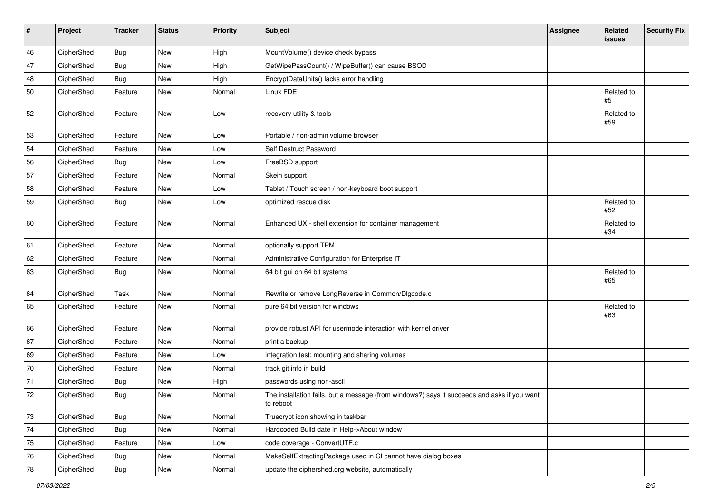| #  | Project    | <b>Tracker</b> | <b>Status</b> | <b>Priority</b> | <b>Subject</b>                                                                                           | <b>Assignee</b> | Related<br>issues | <b>Security Fix</b> |
|----|------------|----------------|---------------|-----------------|----------------------------------------------------------------------------------------------------------|-----------------|-------------------|---------------------|
| 46 | CipherShed | <b>Bug</b>     | <b>New</b>    | High            | MountVolume() device check bypass                                                                        |                 |                   |                     |
| 47 | CipherShed | <b>Bug</b>     | New           | High            | GetWipePassCount() / WipeBuffer() can cause BSOD                                                         |                 |                   |                     |
| 48 | CipherShed | <b>Bug</b>     | New           | High            | EncryptDataUnits() lacks error handling                                                                  |                 |                   |                     |
| 50 | CipherShed | Feature        | New           | Normal          | Linux FDE                                                                                                |                 | Related to<br>#5  |                     |
| 52 | CipherShed | Feature        | <b>New</b>    | Low             | recovery utility & tools                                                                                 |                 | Related to<br>#59 |                     |
| 53 | CipherShed | Feature        | <b>New</b>    | Low             | Portable / non-admin volume browser                                                                      |                 |                   |                     |
| 54 | CipherShed | Feature        | New           | Low             | Self Destruct Password                                                                                   |                 |                   |                     |
| 56 | CipherShed | Bug            | New           | Low             | FreeBSD support                                                                                          |                 |                   |                     |
| 57 | CipherShed | Feature        | New           | Normal          | Skein support                                                                                            |                 |                   |                     |
| 58 | CipherShed | Feature        | <b>New</b>    | Low             | Tablet / Touch screen / non-keyboard boot support                                                        |                 |                   |                     |
| 59 | CipherShed | Bug            | New           | Low             | optimized rescue disk                                                                                    |                 | Related to<br>#52 |                     |
| 60 | CipherShed | Feature        | New           | Normal          | Enhanced UX - shell extension for container management                                                   |                 | Related to<br>#34 |                     |
| 61 | CipherShed | Feature        | New           | Normal          | optionally support TPM                                                                                   |                 |                   |                     |
| 62 | CipherShed | Feature        | New           | Normal          | Administrative Configuration for Enterprise IT                                                           |                 |                   |                     |
| 63 | CipherShed | Bug            | New           | Normal          | 64 bit gui on 64 bit systems                                                                             |                 | Related to<br>#65 |                     |
| 64 | CipherShed | Task           | New           | Normal          | Rewrite or remove LongReverse in Common/DIgcode.c                                                        |                 |                   |                     |
| 65 | CipherShed | Feature        | New           | Normal          | pure 64 bit version for windows                                                                          |                 | Related to<br>#63 |                     |
| 66 | CipherShed | Feature        | New           | Normal          | provide robust API for usermode interaction with kernel driver                                           |                 |                   |                     |
| 67 | CipherShed | Feature        | New           | Normal          | print a backup                                                                                           |                 |                   |                     |
| 69 | CipherShed | Feature        | New           | Low             | integration test: mounting and sharing volumes                                                           |                 |                   |                     |
| 70 | CipherShed | Feature        | New           | Normal          | track git info in build                                                                                  |                 |                   |                     |
| 71 | CipherShed | <b>Bug</b>     | New           | High            | passwords using non-ascii                                                                                |                 |                   |                     |
| 72 | CipherShed | Bug            | New           | Normal          | The installation fails, but a message (from windows?) says it succeeds and asks if you want<br>to reboot |                 |                   |                     |
| 73 | CipherShed | Bug            | New           | Normal          | Truecrypt icon showing in taskbar                                                                        |                 |                   |                     |
| 74 | CipherShed | <b>Bug</b>     | New           | Normal          | Hardcoded Build date in Help->About window                                                               |                 |                   |                     |
| 75 | CipherShed | Feature        | New           | Low             | code coverage - ConvertUTF.c                                                                             |                 |                   |                     |
| 76 | CipherShed | <b>Bug</b>     | New           | Normal          | MakeSelfExtractingPackage used in CI cannot have dialog boxes                                            |                 |                   |                     |
| 78 | CipherShed | Bug            | New           | Normal          | update the ciphershed.org website, automatically                                                         |                 |                   |                     |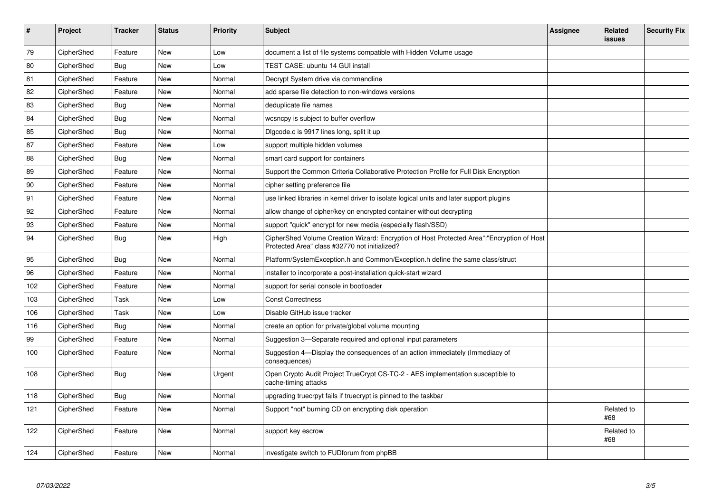| $\sharp$ | Project    | <b>Tracker</b> | <b>Status</b> | <b>Priority</b> | <b>Subject</b>                                                                                                                             | Assignee | Related<br>issues | <b>Security Fix</b> |
|----------|------------|----------------|---------------|-----------------|--------------------------------------------------------------------------------------------------------------------------------------------|----------|-------------------|---------------------|
| 79       | CipherShed | Feature        | <b>New</b>    | Low             | document a list of file systems compatible with Hidden Volume usage                                                                        |          |                   |                     |
| 80       | CipherShed | Bug            | New           | Low             | TEST CASE: ubuntu 14 GUI install                                                                                                           |          |                   |                     |
| 81       | CipherShed | Feature        | New           | Normal          | Decrypt System drive via commandline                                                                                                       |          |                   |                     |
| 82       | CipherShed | Feature        | New           | Normal          | add sparse file detection to non-windows versions                                                                                          |          |                   |                     |
| 83       | CipherShed | Bug            | New           | Normal          | deduplicate file names                                                                                                                     |          |                   |                     |
| 84       | CipherShed | <b>Bug</b>     | <b>New</b>    | Normal          | wcsncpy is subject to buffer overflow                                                                                                      |          |                   |                     |
| 85       | CipherShed | <b>Bug</b>     | <b>New</b>    | Normal          | Digcode.c is 9917 lines long, split it up                                                                                                  |          |                   |                     |
| 87       | CipherShed | Feature        | <b>New</b>    | Low             | support multiple hidden volumes                                                                                                            |          |                   |                     |
| 88       | CipherShed | <b>Bug</b>     | <b>New</b>    | Normal          | smart card support for containers                                                                                                          |          |                   |                     |
| 89       | CipherShed | Feature        | <b>New</b>    | Normal          | Support the Common Criteria Collaborative Protection Profile for Full Disk Encryption                                                      |          |                   |                     |
| 90       | CipherShed | Feature        | <b>New</b>    | Normal          | cipher setting preference file                                                                                                             |          |                   |                     |
| 91       | CipherShed | Feature        | <b>New</b>    | Normal          | use linked libraries in kernel driver to isolate logical units and later support plugins                                                   |          |                   |                     |
| 92       | CipherShed | Feature        | New           | Normal          | allow change of cipher/key on encrypted container without decrypting                                                                       |          |                   |                     |
| 93       | CipherShed | Feature        | New           | Normal          | support "quick" encrypt for new media (especially flash/SSD)                                                                               |          |                   |                     |
| 94       | CipherShed | <b>Bug</b>     | New           | High            | CipherShed Volume Creation Wizard: Encryption of Host Protected Area":"Encryption of Host<br>Protected Area" class #32770 not initialized? |          |                   |                     |
| 95       | CipherShed | <b>Bug</b>     | <b>New</b>    | Normal          | Platform/SystemException.h and Common/Exception.h define the same class/struct                                                             |          |                   |                     |
| 96       | CipherShed | Feature        | New           | Normal          | installer to incorporate a post-installation quick-start wizard                                                                            |          |                   |                     |
| 102      | CipherShed | Feature        | New           | Normal          | support for serial console in bootloader                                                                                                   |          |                   |                     |
| 103      | CipherShed | Task           | New           | Low             | <b>Const Correctness</b>                                                                                                                   |          |                   |                     |
| 106      | CipherShed | Task           | <b>New</b>    | Low             | Disable GitHub issue tracker                                                                                                               |          |                   |                     |
| 116      | CipherShed | Bug            | New           | Normal          | create an option for private/global volume mounting                                                                                        |          |                   |                     |
| 99       | CipherShed | Feature        | <b>New</b>    | Normal          | Suggestion 3-Separate required and optional input parameters                                                                               |          |                   |                     |
| 100      | CipherShed | Feature        | New           | Normal          | Suggestion 4-Display the consequences of an action immediately (Immediacy of<br>consequences)                                              |          |                   |                     |
| 108      | CipherShed | Bug            | New           | Urgent          | Open Crypto Audit Project TrueCrypt CS-TC-2 - AES implementation susceptible to<br>cache-timing attacks                                    |          |                   |                     |
| 118      | CipherShed | Bug            | New           | Normal          | upgrading truecrpyt fails if truecrypt is pinned to the taskbar                                                                            |          |                   |                     |
| 121      | CipherShed | Feature        | <b>New</b>    | Normal          | Support "not" burning CD on encrypting disk operation                                                                                      |          | Related to<br>#68 |                     |
| 122      | CipherShed | Feature        | New           | Normal          | support key escrow                                                                                                                         |          | Related to<br>#68 |                     |
| 124      | CipherShed | Feature        | New           | Normal          | investigate switch to FUDforum from phpBB                                                                                                  |          |                   |                     |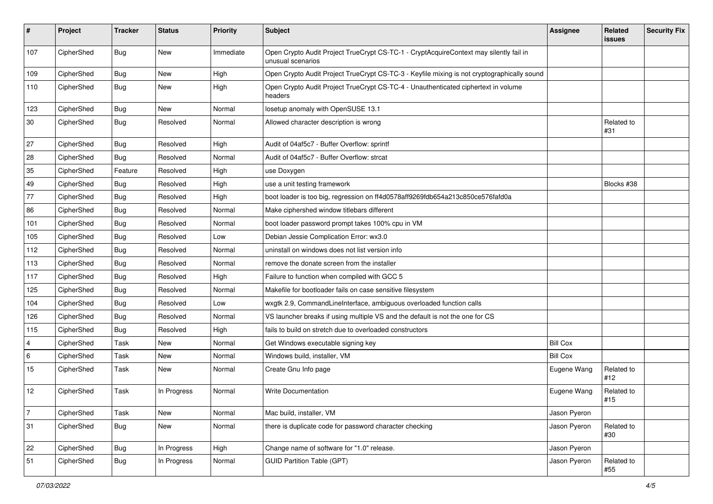| #              | Project    | <b>Tracker</b> | <b>Status</b> | <b>Priority</b> | <b>Subject</b>                                                                                              | <b>Assignee</b> | Related<br><b>issues</b> | <b>Security Fix</b> |
|----------------|------------|----------------|---------------|-----------------|-------------------------------------------------------------------------------------------------------------|-----------------|--------------------------|---------------------|
| 107            | CipherShed | Bug            | <b>New</b>    | Immediate       | Open Crypto Audit Project TrueCrypt CS-TC-1 - CryptAcquireContext may silently fail in<br>unusual scenarios |                 |                          |                     |
| 109            | CipherShed | <b>Bug</b>     | New           | High            | Open Crypto Audit Project TrueCrypt CS-TC-3 - Keyfile mixing is not cryptographically sound                 |                 |                          |                     |
| 110            | CipherShed | Bug            | New           | High            | Open Crypto Audit Project TrueCrypt CS-TC-4 - Unauthenticated ciphertext in volume<br>headers               |                 |                          |                     |
| 123            | CipherShed | Bug            | New           | Normal          | losetup anomaly with OpenSUSE 13.1                                                                          |                 |                          |                     |
| 30             | CipherShed | Bug            | Resolved      | Normal          | Allowed character description is wrong                                                                      |                 | Related to<br>#31        |                     |
| 27             | CipherShed | <b>Bug</b>     | Resolved      | High            | Audit of 04af5c7 - Buffer Overflow: sprintf                                                                 |                 |                          |                     |
| 28             | CipherShed | <b>Bug</b>     | Resolved      | Normal          | Audit of 04af5c7 - Buffer Overflow: strcat                                                                  |                 |                          |                     |
| 35             | CipherShed | Feature        | Resolved      | High            | use Doxygen                                                                                                 |                 |                          |                     |
| 49             | CipherShed | <b>Bug</b>     | Resolved      | High            | use a unit testing framework                                                                                |                 | Blocks #38               |                     |
| 77             | CipherShed | Bug            | Resolved      | High            | boot loader is too big, regression on ff4d0578aff9269fdb654a213c850ce576fafd0a                              |                 |                          |                     |
| 86             | CipherShed | <b>Bug</b>     | Resolved      | Normal          | Make ciphershed window titlebars different                                                                  |                 |                          |                     |
| 101            | CipherShed | <b>Bug</b>     | Resolved      | Normal          | boot loader password prompt takes 100% cpu in VM                                                            |                 |                          |                     |
| 105            | CipherShed | Bug            | Resolved      | Low             | Debian Jessie Complication Error: wx3.0                                                                     |                 |                          |                     |
| 112            | CipherShed | <b>Bug</b>     | Resolved      | Normal          | uninstall on windows does not list version info                                                             |                 |                          |                     |
| 113            | CipherShed | <b>Bug</b>     | Resolved      | Normal          | remove the donate screen from the installer                                                                 |                 |                          |                     |
| 117            | CipherShed | Bug            | Resolved      | High            | Failure to function when compiled with GCC 5                                                                |                 |                          |                     |
| 125            | CipherShed | <b>Bug</b>     | Resolved      | Normal          | Makefile for bootloader fails on case sensitive filesystem                                                  |                 |                          |                     |
| 104            | CipherShed | Bug            | Resolved      | Low             | wxgtk 2.9, CommandLineInterface, ambiguous overloaded function calls                                        |                 |                          |                     |
| 126            | CipherShed | <b>Bug</b>     | Resolved      | Normal          | VS launcher breaks if using multiple VS and the default is not the one for CS                               |                 |                          |                     |
| 115            | CipherShed | <b>Bug</b>     | Resolved      | High            | fails to build on stretch due to overloaded constructors                                                    |                 |                          |                     |
| $\overline{4}$ | CipherShed | Task           | New           | Normal          | Get Windows executable signing key                                                                          | <b>Bill Cox</b> |                          |                     |
| 6              | CipherShed | Task           | <b>New</b>    | Normal          | Windows build, installer, VM                                                                                | <b>Bill Cox</b> |                          |                     |
| 15             | CipherShed | Task           | New           | Normal          | Create Gnu Info page                                                                                        | Eugene Wang     | Related to<br>#12        |                     |
| 12             | CipherShed | Task           | In Progress   | Normal          | Write Documentation                                                                                         | Eugene Wang     | Related to<br>#15        |                     |
| 7              | CipherShed | <b>Task</b>    | New           | Normal          | Mac build, installer, VM                                                                                    | Jason Pyeron    |                          |                     |
| 31             | CipherShed | <b>Bug</b>     | New           | Normal          | there is duplicate code for password character checking                                                     | Jason Pyeron    | Related to<br>#30        |                     |
| 22             | CipherShed | <b>Bug</b>     | In Progress   | High            | Change name of software for "1.0" release.                                                                  | Jason Pyeron    |                          |                     |
| 51             | CipherShed | Bug            | In Progress   | Normal          | <b>GUID Partition Table (GPT)</b>                                                                           | Jason Pyeron    | Related to<br>#55        |                     |